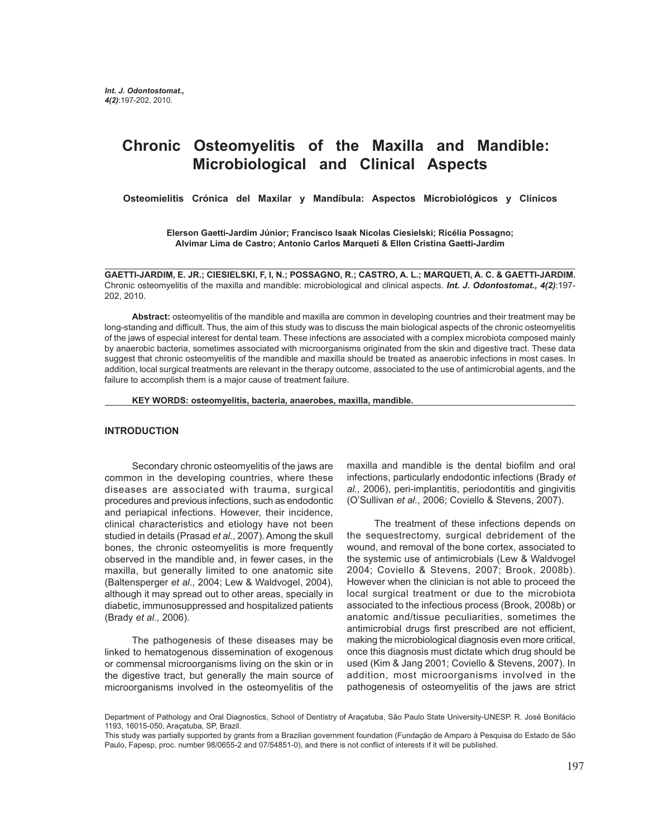# **Chronic Osteomyelitis of the Maxilla and Mandible: Microbiological and Clinical Aspects**

**Osteomielitis Crónica del Maxilar y Mandíbula: Aspectos Microbiológicos y Clínicos**

**Elerson Gaetti-Jardim Júnior; Francisco Isaak Nicolas Ciesielski; Ricélia Possagno; Alvimar Lima de Castro; Antonio Carlos Marqueti & Ellen Cristina Gaetti-Jardim**

**GAETTI-JARDIM, E. JR.; CIESIELSKI, F, I, N.; POSSAGNO, R.; CASTRO, A. L.; MARQUETI, A. C. & GAETTI-JARDIM.** Chronic osteomyelitis of the maxilla and mandible: microbiological and clinical aspects. *Int. J. Odontostomat., 4(2)*:197- 202, 2010.

**Abstract:** osteomyelitis of the mandible and maxilla are common in developing countries and their treatment may be long-standing and difficult. Thus, the aim of this study was to discuss the main biological aspects of the chronic osteomyelitis of the jaws of especial interest for dental team. These infections are associated with a complex microbiota composed mainly by anaerobic bacteria, sometimes associated with microorganisms originated from the skin and digestive tract. These data suggest that chronic osteomyelitis of the mandible and maxilla should be treated as anaerobic infections in most cases. In addition, local surgical treatments are relevant in the therapy outcome, associated to the use of antimicrobial agents, and the failure to accomplish them is a major cause of treatment failure.

**KEY WORDS: osteomyelitis, bacteria, anaerobes, maxilla, mandible.**

#### **INTRODUCTION**

Secondary chronic osteomyelitis of the jaws are common in the developing countries, where these diseases are associated with trauma, surgical procedures and previous infections, such as endodontic and periapical infections. However, their incidence, clinical characteristics and etiology have not been studied in details (Prasad *et al*., 2007). Among the skull bones, the chronic osteomyelitis is more frequently observed in the mandible and, in fewer cases, in the maxilla, but generally limited to one anatomic site (Baltensperger *et al*., 2004; Lew & Waldvogel, 2004), although it may spread out to other areas, specially in diabetic, immunosuppressed and hospitalized patients (Brady *et al.,* 2006).

The pathogenesis of these diseases may be linked to hematogenous dissemination of exogenous or commensal microorganisms living on the skin or in the digestive tract, but generally the main source of microorganisms involved in the osteomyelitis of the maxilla and mandible is the dental biofilm and oral infections, particularly endodontic infections (Brady *et al.,* 2006), peri-implantitis, periodontitis and gingivitis (O'Sullivan *et al.*, 2006; Coviello & Stevens, 2007).

The treatment of these infections depends on the sequestrectomy, surgical debridement of the wound, and removal of the bone cortex, associated to the systemic use of antimicrobials (Lew & Waldvogel 2004; Coviello & Stevens, 2007; Brook, 2008b). However when the clinician is not able to proceed the local surgical treatment or due to the microbiota associated to the infectious process (Brook, 2008b) or anatomic and/tissue peculiarities, sometimes the antimicrobial drugs first prescribed are not efficient, making the microbiological diagnosis even more critical, once this diagnosis must dictate which drug should be used (Kim & Jang 2001; Coviello & Stevens, 2007). In addition, most microorganisms involved in the pathogenesis of osteomyelitis of the jaws are strict

Department of Pathology and Oral Diagnostics, School of Dentistry of Araçatuba, São Paulo State University-UNESP. R. José Bonifácio 1193, 16015-050, Araçatuba, SP, Brazil.

This study was partially supported by grants from a Brazilian government foundation (Fundação de Amparo à Pesquisa do Estado de São Paulo, Fapesp, proc. number 98/0655-2 and 07/54851-0), and there is not conflict of interests if it will be published.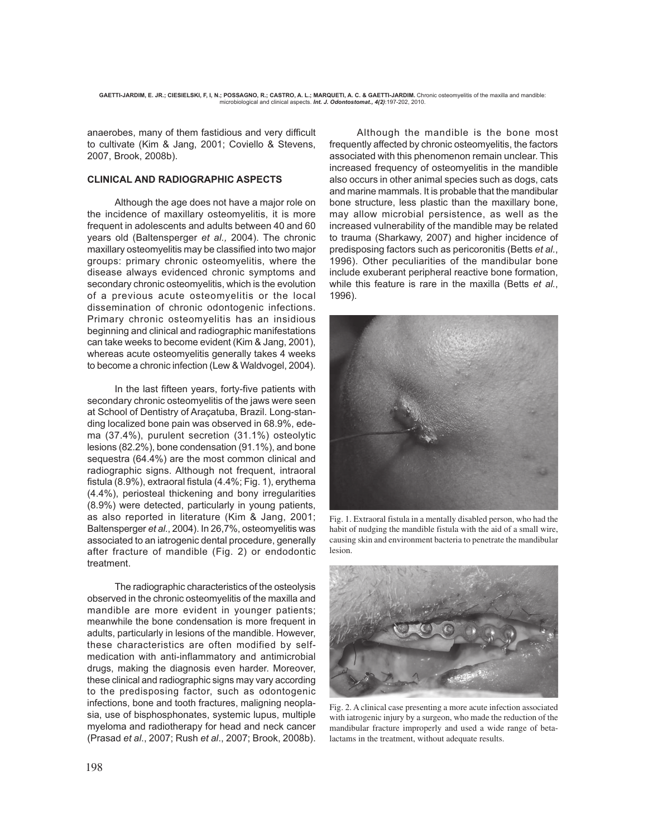anaerobes, many of them fastidious and very difficult to cultivate (Kim & Jang, 2001; Coviello & Stevens, 2007, Brook, 2008b).

## **CLINICAL AND RADIOGRAPHIC ASPECTS**

Although the age does not have a major role on the incidence of maxillary osteomyelitis, it is more frequent in adolescents and adults between 40 and 60 years old (Baltensperger *et al.,* 2004). The chronic maxillary osteomyelitis may be classified into two major groups: primary chronic osteomyelitis, where the disease always evidenced chronic symptoms and secondary chronic osteomyelitis, which is the evolution of a previous acute osteomyelitis or the local dissemination of chronic odontogenic infections. Primary chronic osteomyelitis has an insidious beginning and clinical and radiographic manifestations can take weeks to become evident (Kim & Jang, 2001), whereas acute osteomyelitis generally takes 4 weeks to become a chronic infection (Lew & Waldvogel, 2004).

In the last fifteen years, forty-five patients with secondary chronic osteomyelitis of the jaws were seen at School of Dentistry of Araçatuba, Brazil. Long-standing localized bone pain was observed in 68.9%, edema (37.4%), purulent secretion (31.1%) osteolytic lesions (82.2%), bone condensation (91.1%), and bone sequestra (64.4%) are the most common clinical and radiographic signs. Although not frequent, intraoral fistula (8.9%), extraoral fistula (4.4%; Fig. 1), erythema (4.4%), periosteal thickening and bony irregularities (8.9%) were detected, particularly in young patients, as also reported in literature (Kim & Jang, 2001; Baltensperger *et al*., 2004). In 26,7%, osteomyelitis was associated to an iatrogenic dental procedure, generally after fracture of mandible (Fig. 2) or endodontic treatment.

The radiographic characteristics of the osteolysis observed in the chronic osteomyelitis of the maxilla and mandible are more evident in younger patients; meanwhile the bone condensation is more frequent in adults, particularly in lesions of the mandible. However, these characteristics are often modified by selfmedication with anti-inflammatory and antimicrobial drugs, making the diagnosis even harder. Moreover, these clinical and radiographic signs may vary according to the predisposing factor, such as odontogenic infections, bone and tooth fractures, maligning neoplasia, use of bisphosphonates, systemic lupus, multiple myeloma and radiotherapy for head and neck cancer (Prasad *et al*., 2007; Rush *et al*., 2007; Brook, 2008b).

 Although the mandible is the bone most frequently affected by chronic osteomyelitis, the factors associated with this phenomenon remain unclear. This increased frequency of osteomyelitis in the mandible also occurs in other animal species such as dogs, cats and marine mammals. It is probable that the mandibular bone structure, less plastic than the maxillary bone, may allow microbial persistence, as well as the increased vulnerability of the mandible may be related to trauma (Sharkawy, 2007) and higher incidence of predisposing factors such as pericoronitis (Betts *et al.*, 1996). Other peculiarities of the mandibular bone include exuberant peripheral reactive bone formation, while this feature is rare in the maxilla (Betts *et al.*, 1996).



Fig. 1. Extraoral fistula in a mentally disabled person, who had the habit of nudging the mandible fistula with the aid of a small wire, causing skin and environment bacteria to penetrate the mandibular lesion.



Fig. 2. A clinical case presenting a more acute infection associated with iatrogenic injury by a surgeon, who made the reduction of the mandibular fracture improperly and used a wide range of betalactams in the treatment, without adequate results.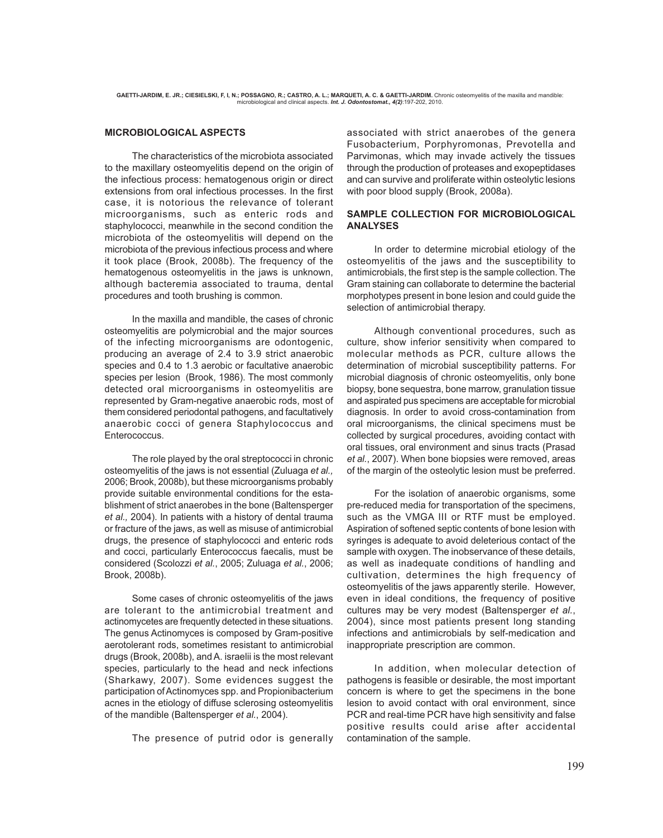#### **MICROBIOLOGICAL ASPECTS**

The characteristics of the microbiota associated to the maxillary osteomyelitis depend on the origin of the infectious process: hematogenous origin or direct extensions from oral infectious processes. In the first case, it is notorious the relevance of tolerant microorganisms, such as enteric rods and staphylococci, meanwhile in the second condition the microbiota of the osteomyelitis will depend on the microbiota of the previous infectious process and where it took place (Brook, 2008b). The frequency of the hematogenous osteomyelitis in the jaws is unknown, although bacteremia associated to trauma, dental procedures and tooth brushing is common.

In the maxilla and mandible, the cases of chronic osteomyelitis are polymicrobial and the major sources of the infecting microorganisms are odontogenic, producing an average of 2.4 to 3.9 strict anaerobic species and 0.4 to 1.3 aerobic or facultative anaerobic species per lesion (Brook, 1986). The most commonly detected oral microorganisms in osteomyelitis are represented by Gram-negative anaerobic rods, most of them considered periodontal pathogens, and facultatively anaerobic cocci of genera Staphylococcus and Enterococcus.

The role played by the oral streptococci in chronic osteomyelitis of the jaws is not essential (Zuluaga *et al.,* 2006; Brook, 2008b), but these microorganisms probably provide suitable environmental conditions for the establishment of strict anaerobes in the bone (Baltensperger *et al.,* 2004). In patients with a history of dental trauma or fracture of the jaws, as well as misuse of antimicrobial drugs, the presence of staphylococci and enteric rods and cocci, particularly Enterococcus faecalis, must be considered (Scolozzi *et al.*, 2005; Zuluaga *et al.*, 2006; Brook, 2008b).

Some cases of chronic osteomyelitis of the jaws are tolerant to the antimicrobial treatment and actinomycetes are frequently detected in these situations. The genus Actinomyces is composed by Gram-positive aerotolerant rods, sometimes resistant to antimicrobial drugs (Brook, 2008b), and A. israelii is the most relevant species, particularly to the head and neck infections (Sharkawy, 2007). Some evidences suggest the participation of Actinomyces spp. and Propionibacterium acnes in the etiology of diffuse sclerosing osteomyelitis of the mandible (Baltensperger *et al.*, 2004).

The presence of putrid odor is generally

associated with strict anaerobes of the genera Fusobacterium, Porphyromonas, Prevotella and Parvimonas, which may invade actively the tissues through the production of proteases and exopeptidases and can survive and proliferate within osteolytic lesions with poor blood supply (Brook, 2008a).

#### **SAMPLE COLLECTION FOR MICROBIOLOGICAL ANALYSES**

In order to determine microbial etiology of the osteomyelitis of the jaws and the susceptibility to antimicrobials, the first step is the sample collection. The Gram staining can collaborate to determine the bacterial morphotypes present in bone lesion and could guide the selection of antimicrobial therapy.

Although conventional procedures, such as culture, show inferior sensitivity when compared to molecular methods as PCR, culture allows the determination of microbial susceptibility patterns. For microbial diagnosis of chronic osteomyelitis, only bone biopsy, bone sequestra, bone marrow, granulation tissue and aspirated pus specimens are acceptable for microbial diagnosis. In order to avoid cross-contamination from oral microorganisms, the clinical specimens must be collected by surgical procedures, avoiding contact with oral tissues, oral environment and sinus tracts (Prasad *et al.*, 2007). When bone biopsies were removed, areas of the margin of the osteolytic lesion must be preferred.

For the isolation of anaerobic organisms, some pre-reduced media for transportation of the specimens, such as the VMGA III or RTF must be employed. Aspiration of softened septic contents of bone lesion with syringes is adequate to avoid deleterious contact of the sample with oxygen. The inobservance of these details, as well as inadequate conditions of handling and cultivation, determines the high frequency of osteomyelitis of the jaws apparently sterile. However, even in ideal conditions, the frequency of positive cultures may be very modest (Baltensperger *et al.*, 2004), since most patients present long standing infections and antimicrobials by self-medication and inappropriate prescription are common.

In addition, when molecular detection of pathogens is feasible or desirable, the most important concern is where to get the specimens in the bone lesion to avoid contact with oral environment, since PCR and real-time PCR have high sensitivity and false positive results could arise after accidental contamination of the sample.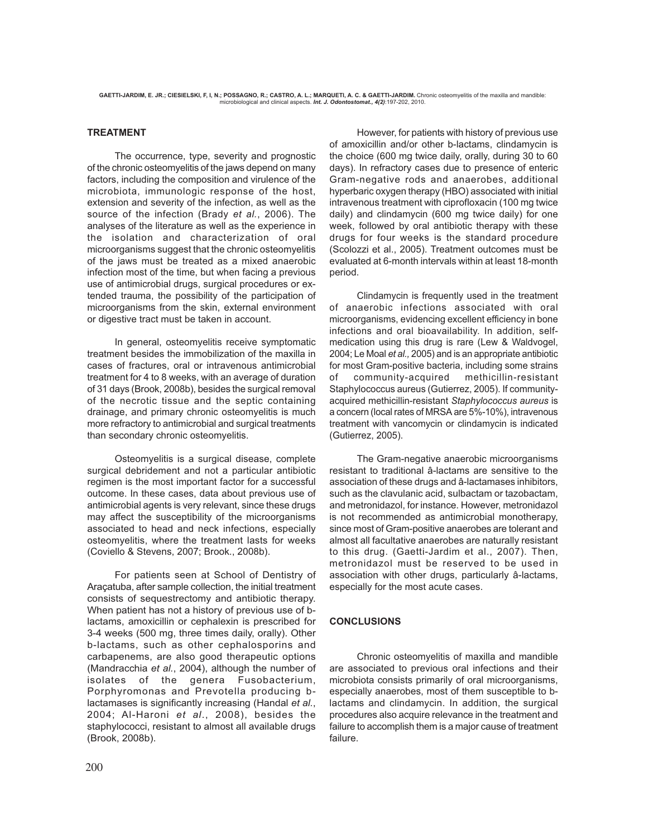## **TREATMENT**

The occurrence, type, severity and prognostic of the chronic osteomyelitis of the jaws depend on many factors, including the composition and virulence of the microbiota, immunologic response of the host, extension and severity of the infection, as well as the source of the infection (Brady *et al.*, 2006). The analyses of the literature as well as the experience in the isolation and characterization of oral microorganisms suggest that the chronic osteomyelitis of the jaws must be treated as a mixed anaerobic infection most of the time, but when facing a previous use of antimicrobial drugs, surgical procedures or extended trauma, the possibility of the participation of microorganisms from the skin, external environment or digestive tract must be taken in account.

In general, osteomyelitis receive symptomatic treatment besides the immobilization of the maxilla in cases of fractures, oral or intravenous antimicrobial treatment for 4 to 8 weeks, with an average of duration of 31 days (Brook, 2008b), besides the surgical removal of the necrotic tissue and the septic containing drainage, and primary chronic osteomyelitis is much more refractory to antimicrobial and surgical treatments than secondary chronic osteomyelitis.

Osteomyelitis is a surgical disease, complete surgical debridement and not a particular antibiotic regimen is the most important factor for a successful outcome. In these cases, data about previous use of antimicrobial agents is very relevant, since these drugs may affect the susceptibility of the microorganisms associated to head and neck infections, especially osteomyelitis, where the treatment lasts for weeks (Coviello & Stevens, 2007; Brook., 2008b).

For patients seen at School of Dentistry of Araçatuba, after sample collection, the initial treatment consists of sequestrectomy and antibiotic therapy. When patient has not a history of previous use of blactams, amoxicillin or cephalexin is prescribed for 3-4 weeks (500 mg, three times daily, orally). Other b-lactams, such as other cephalosporins and carbapenems, are also good therapeutic options (Mandracchia *et al.*, 2004), although the number of isolates of the genera Fusobacterium, Porphyromonas and Prevotella producing blactamases is significantly increasing (Handal *et al.*, 2004; Al-Haroni *et al*., 2008), besides the staphylococci, resistant to almost all available drugs (Brook, 2008b).

However, for patients with history of previous use of amoxicillin and/or other b-lactams, clindamycin is the choice (600 mg twice daily, orally, during 30 to 60 days). In refractory cases due to presence of enteric Gram-negative rods and anaerobes, additional hyperbaric oxygen therapy (HBO) associated with initial intravenous treatment with ciprofloxacin (100 mg twice daily) and clindamycin (600 mg twice daily) for one week, followed by oral antibiotic therapy with these drugs for four weeks is the standard procedure (Scolozzi et al., 2005). Treatment outcomes must be evaluated at 6-month intervals within at least 18-month period.

Clindamycin is frequently used in the treatment of anaerobic infections associated with oral microorganisms, evidencing excellent efficiency in bone infections and oral bioavailability. In addition, selfmedication using this drug is rare (Lew & Waldvogel, 2004; Le Moal *et al.,* 2005) and is an appropriate antibiotic for most Gram-positive bacteria, including some strains of community-acquired methicillin-resistant Staphylococcus aureus (Gutierrez, 2005). If communityacquired methicillin-resistant *Staphylococcus aureus* is a concern (local rates of MRSA are 5%-10%), intravenous treatment with vancomycin or clindamycin is indicated (Gutierrez, 2005).

The Gram-negative anaerobic microorganisms resistant to traditional â-lactams are sensitive to the association of these drugs and â-lactamases inhibitors, such as the clavulanic acid, sulbactam or tazobactam, and metronidazol, for instance. However, metronidazol is not recommended as antimicrobial monotherapy, since most of Gram-positive anaerobes are tolerant and almost all facultative anaerobes are naturally resistant to this drug. (Gaetti-Jardim et al., 2007). Then, metronidazol must be reserved to be used in association with other drugs, particularly â-lactams, especially for the most acute cases.

# **CONCLUSIONS**

Chronic osteomyelitis of maxilla and mandible are associated to previous oral infections and their microbiota consists primarily of oral microorganisms, especially anaerobes, most of them susceptible to blactams and clindamycin. In addition, the surgical procedures also acquire relevance in the treatment and failure to accomplish them is a major cause of treatment failure.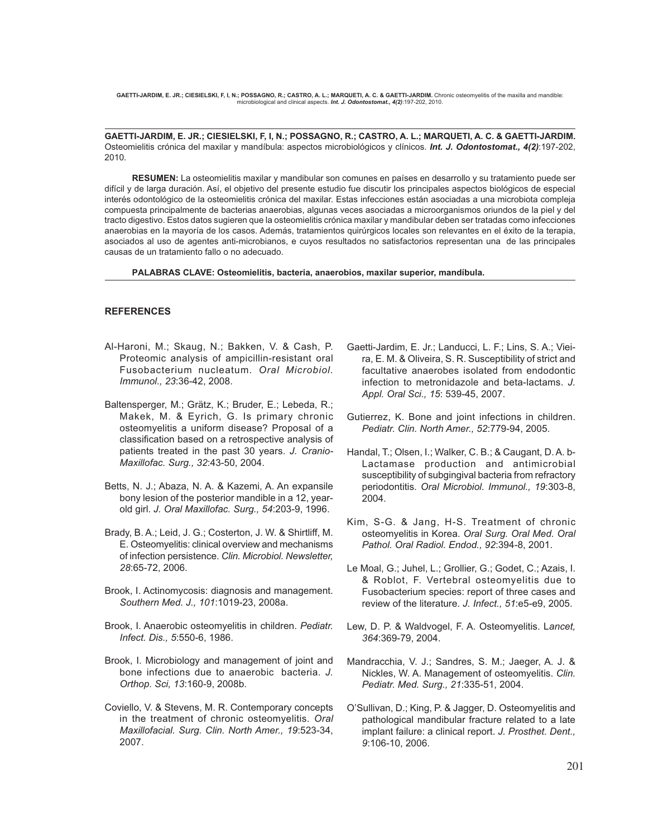**GAETTI-JARDIM, E. JR.; CIESIELSKI, F, I, N.; POSSAGNO, R.; CASTRO, A. L.; MARQUETI, A. C. & GAETTI-JARDIM.** Osteomielitis crónica del maxilar y mandíbula: aspectos microbiológicos y clínicos. *Int. J. Odontostomat., 4(2)*:197-202, 2010.

**RESUMEN:** La osteomielitis maxilar y mandibular son comunes en países en desarrollo y su tratamiento puede ser difícil y de larga duración. Así, el objetivo del presente estudio fue discutir los principales aspectos biológicos de especial interés odontológico de la osteomielitis crónica del maxilar. Estas infecciones están asociadas a una microbiota compleja compuesta principalmente de bacterias anaerobias, algunas veces asociadas a microorganismos oriundos de la piel y del tracto digestivo. Estos datos sugieren que la osteomielitis crónica maxilar y mandibular deben ser tratadas como infecciones anaerobias en la mayoría de los casos. Además, tratamientos quirúrgicos locales son relevantes en el éxito de la terapia, asociados al uso de agentes anti-microbianos, e cuyos resultados no satisfactorios representan una de las principales causas de un tratamiento fallo o no adecuado.

**PALABRAS CLAVE: Osteomielitis, bacteria, anaerobios, maxilar superior, mandíbula.**

#### **REFERENCES**

- Al-Haroni, M.; Skaug, N.; Bakken, V. & Cash, P. Proteomic analysis of ampicillin-resistant oral Fusobacterium nucleatum. *Oral Microbiol. Immunol., 23*:36-42, 2008.
- Baltensperger, M.; Grätz, K.; Bruder, E.; Lebeda, R.; Makek, M. & Eyrich, G. Is primary chronic osteomyelitis a uniform disease? Proposal of a classification based on a retrospective analysis of patients treated in the past 30 years. *J. Cranio-Maxillofac. Surg., 32*:43-50, 2004.
- Betts, N. J.; Abaza, N. A. & Kazemi, A. An expansile bony lesion of the posterior mandible in a 12, yearold girl. *J. Oral Maxillofac. Surg., 54*:203-9, 1996.
- Brady, B. A.; Leid, J. G.; Costerton, J. W. & Shirtliff, M. E. Osteomyelitis: clinical overview and mechanisms of infection persistence. *Clin. Microbiol. Newsletter, 28*:65-72, 2006.
- Brook, I. Actinomycosis: diagnosis and management. *Southern Med. J., 101*:1019-23, 2008a.
- Brook, I. Anaerobic osteomyelitis in children. *Pediatr. Infect. Dis., 5*:550-6, 1986.
- Brook, I. Microbiology and management of joint and bone infections due to anaerobic bacteria. *J. Orthop. Sci, 13*:160-9, 2008b.
- Coviello, V. & Stevens, M. R. Contemporary concepts in the treatment of chronic osteomyelitis. *Oral Maxillofacial. Surg. Clin. North Amer., 19*:523-34, 2007.
- Gaetti-Jardim, E. Jr.; Landucci, L. F.; Lins, S. A.; Vieira, E. M. & Oliveira, S. R. Susceptibility of strict and facultative anaerobes isolated from endodontic infection to metronidazole and beta-lactams. *J. Appl. Oral Sci., 15*: 539-45, 2007.
- Gutierrez, K. Bone and joint infections in children. *Pediatr. Clin. North Amer., 52*:779-94, 2005.
- Handal, T.; Olsen, I.; Walker, C. B.; & Caugant, D. A. b-Lactamase production and antimicrobial susceptibility of subgingival bacteria from refractory periodontitis. *Oral Microbiol. Immunol., 19*:303-8, 2004.
- Kim, S-G. & Jang, H-S. Treatment of chronic osteomyelitis in Korea. *Oral Surg. Oral Med. Oral Pathol. Oral Radiol. Endod., 92*:394-8, 2001.
- Le Moal, G.; Juhel, L.; Grollier, G.; Godet, C.; Azais, I. & Roblot, F. Vertebral osteomyelitis due to Fusobacterium species: report of three cases and review of the literature. *J. Infect., 51*:e5-e9, 2005.
- Lew, D. P. & Waldvogel, F. A. Osteomyelitis. L*ancet, 364*:369-79, 2004.
- Mandracchia, V. J.; Sandres, S. M.; Jaeger, A. J. & Nickles, W. A. Management of osteomyelitis. *Clin. Pediatr. Med. Surg., 21*:335-51, 2004.
- O'Sullivan, D.; King, P. & Jagger, D. Osteomyelitis and pathological mandibular fracture related to a late implant failure: a clinical report. *J. Prosthet. Dent., 9*:106-10, 2006.